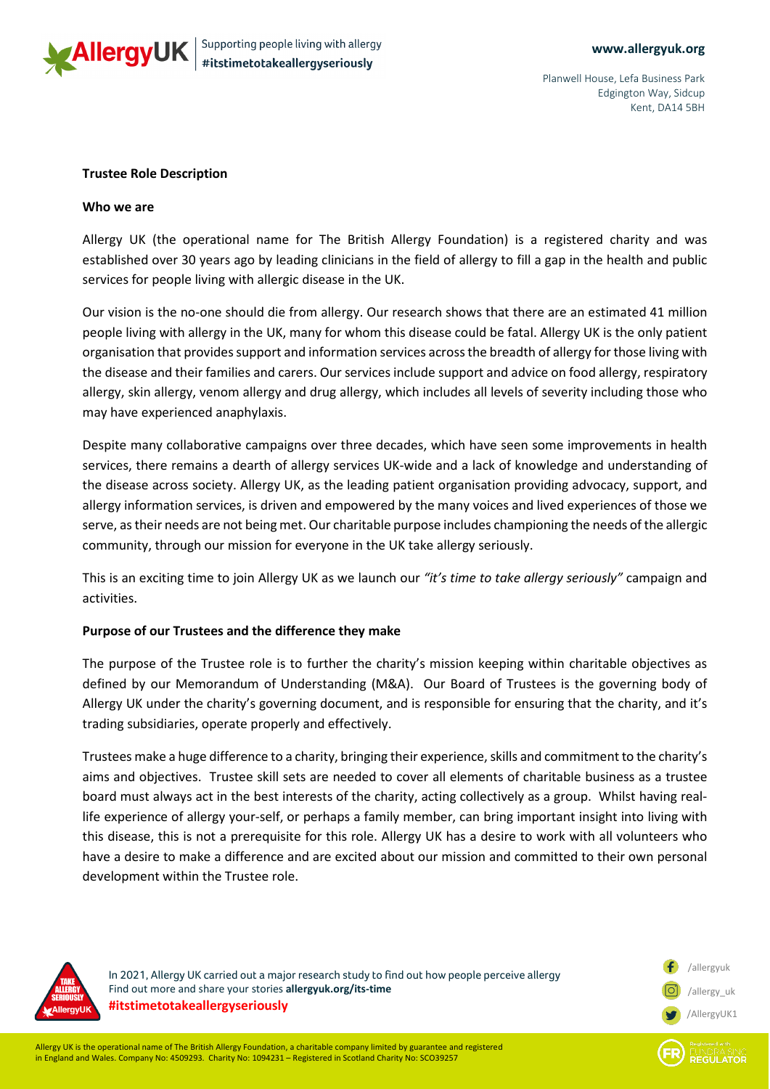

Planwell House, Lefa Business Park Edgington Way, Sidcup Kent, DA14 5BH

### **Trustee Role Description**

#### **Who we are**

Allergy UK (the operational name for The British Allergy Foundation) is a registered charity and was established over 30 years ago by leading clinicians in the field of allergy to fill a gap in the health and public services for people living with allergic disease in the UK.

Our vision is the no-one should die from allergy. Our research shows that there are an estimated 41 million people living with allergy in the UK, many for whom this disease could be fatal. Allergy UK is the only patient organisation that provides support and information services across the breadth of allergy for those living with the disease and their families and carers. Our services include support and advice on food allergy, respiratory allergy, skin allergy, venom allergy and drug allergy, which includes all levels of severity including those who may have experienced anaphylaxis.

Despite many collaborative campaigns over three decades, which have seen some improvements in health services, there remains a dearth of allergy services UK-wide and a lack of knowledge and understanding of the disease across society. Allergy UK, as the leading patient organisation providing advocacy, support, and allergy information services, is driven and empowered by the many voices and lived experiences of those we serve, as their needs are not being met. Our charitable purpose includes championing the needs of the allergic community, through our mission for everyone in the UK take allergy seriously.

This is an exciting time to join Allergy UK as we launch our *"it's time to take allergy seriously"* campaign and activities.

# **Purpose of our Trustees and the difference they make**

The purpose of the Trustee role is to further the charity's mission keeping within charitable objectives as defined by our Memorandum of Understanding (M&A). Our Board of Trustees is the governing body of Allergy UK under the charity's governing document, and is responsible for ensuring that the charity, and it's trading subsidiaries, operate properly and effectively.

Trustees make a huge difference to a charity, bringing their experience, skills and commitment to the charity's aims and objectives. Trustee skill sets are needed to cover all elements of charitable business as a trustee board must always act in the best interests of the charity, acting collectively as a group. Whilst having reallife experience of allergy your-self, or perhaps a family member, can bring important insight into living with this disease, this is not a prerequisite for this role. Allergy UK has a desire to work with all volunteers who have a desire to make a difference and are excited about our mission and committed to their own personal development within the Trustee role.



In 2021, Allergy UK carried out a major research study to find out how people perceive allergy Find out more and share your stories **allergyuk.org/its-time #itstimetotakeallergyseriously**

/allergyuk /allergy\_uk /AllergyUK1

**REGULATOR**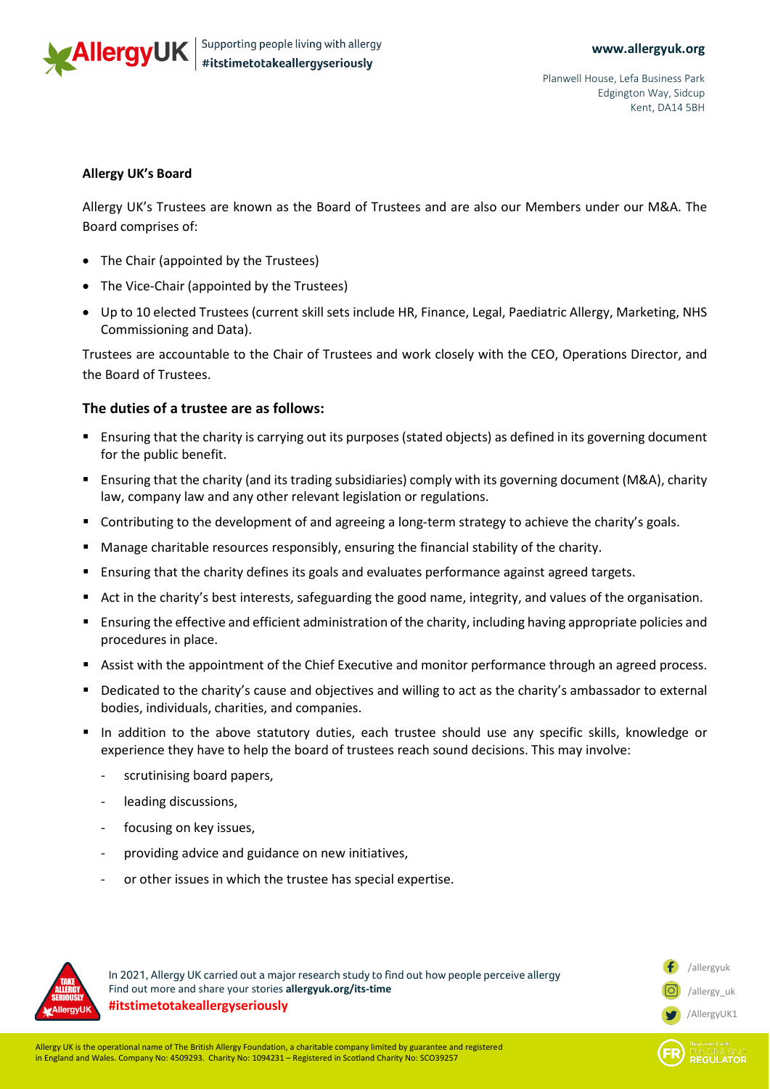

/allergyuk /allergy\_uk /AllergyUK1

**REGULATOR** 

## **Allergy UK's Board**

Allergy UK's Trustees are known as the Board of Trustees and are also our Members under our M&A. The Board comprises of:

- The Chair (appointed by the Trustees)
- The Vice-Chair (appointed by the Trustees)
- Up to 10 elected Trustees (current skill sets include HR, Finance, Legal, Paediatric Allergy, Marketing, NHS Commissioning and Data).

Trustees are accountable to the Chair of Trustees and work closely with the CEO, Operations Director, and the Board of Trustees.

# **The duties of a trustee are as follows:**

- Ensuring that the charity is carrying out its purposes (stated objects) as defined in its governing document for the public benefit.
- Ensuring that the charity (and its trading subsidiaries) comply with its governing document (M&A), charity law, company law and any other relevant legislation or regulations.
- **•** Contributing to the development of and agreeing a long-term strategy to achieve the charity's goals.
- Manage charitable resources responsibly, ensuring the financial stability of the charity.
- Ensuring that the charity defines its goals and evaluates performance against agreed targets.
- Act in the charity's best interests, safeguarding the good name, integrity, and values of the organisation.
- Ensuring the effective and efficient administration of the charity, including having appropriate policies and procedures in place.
- Assist with the appointment of the Chief Executive and monitor performance through an agreed process.
- Dedicated to the charity's cause and objectives and willing to act as the charity's ambassador to external bodies, individuals, charities, and companies.
- In addition to the above statutory duties, each trustee should use any specific skills, knowledge or experience they have to help the board of trustees reach sound decisions. This may involve:
	- scrutinising board papers,
	- leading discussions,
	- focusing on key issues,
	- providing advice and guidance on new initiatives,
	- or other issues in which the trustee has special expertise.



In 2021, Allergy UK carried out a major research study to find out how people perceive allergy Find out more and share your stories **allergyuk.org/its-time #itstimetotakeallergyseriously**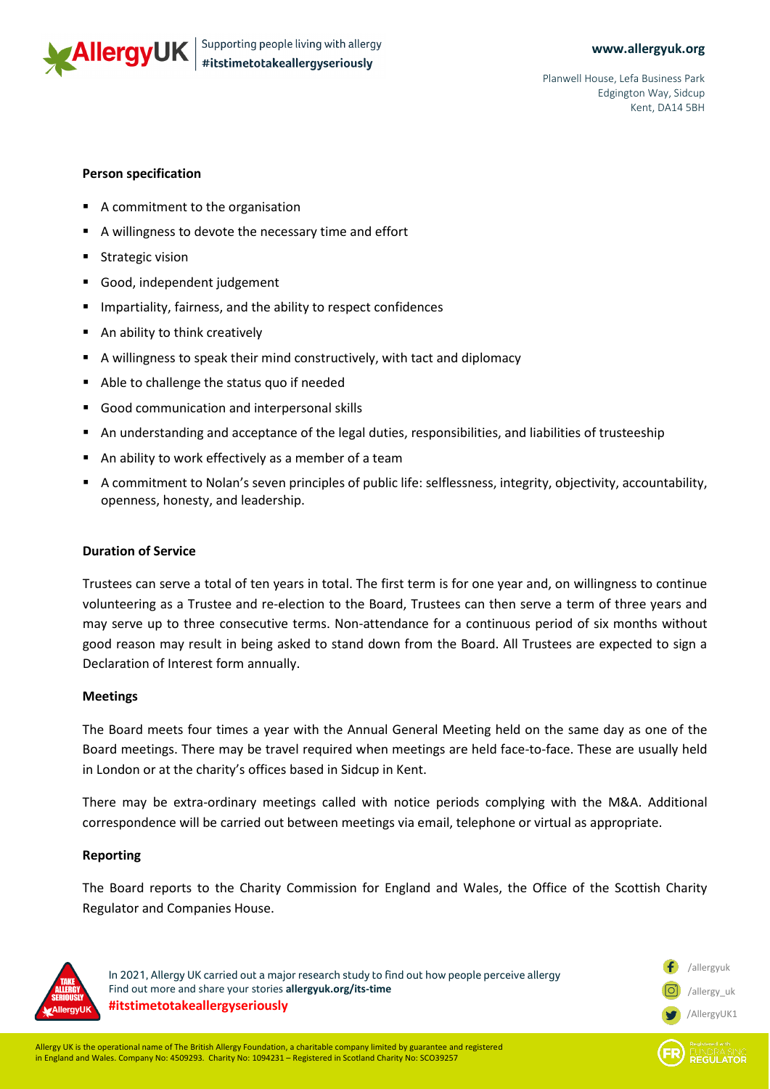

/allergyuk /allergy\_uk /AllergyUK1

**REGULATOR** 

Planwell House, Lefa Business Park Edgington Way, Sidcup Kent, DA14 5BH

# **Person specification**

- A commitment to the organisation
- A willingness to devote the necessary time and effort
- **Strategic vision**
- Good, independent judgement
- Impartiality, fairness, and the ability to respect confidences
- An ability to think creatively
- A willingness to speak their mind constructively, with tact and diplomacy
- Able to challenge the status quo if needed
- Good communication and interpersonal skills
- An understanding and acceptance of the legal duties, responsibilities, and liabilities of trusteeship
- An ability to work effectively as a member of a team
- A commitment to Nolan's seven principles of public life: selflessness, integrity, objectivity, accountability, openness, honesty, and leadership.

## **Duration of Service**

Trustees can serve a total of ten years in total. The first term is for one year and, on willingness to continue volunteering as a Trustee and re-election to the Board, Trustees can then serve a term of three years and may serve up to three consecutive terms. Non-attendance for a continuous period of six months without good reason may result in being asked to stand down from the Board. All Trustees are expected to sign a Declaration of Interest form annually.

# **Meetings**

The Board meets four times a year with the Annual General Meeting held on the same day as one of the Board meetings. There may be travel required when meetings are held face-to-face. These are usually held in London or at the charity's offices based in Sidcup in Kent.

There may be extra-ordinary meetings called with notice periods complying with the M&A. Additional correspondence will be carried out between meetings via email, telephone or virtual as appropriate.

# **Reporting**

The Board reports to the Charity Commission for England and Wales, the Office of the Scottish Charity Regulator and Companies House.



In 2021, Allergy UK carried out a major research study to find out how people perceive allergy Find out more and share your stories **allergyuk.org/its-time #itstimetotakeallergyseriously**

Allergy UK is the operational name of The British Allergy Foundation, a charitable company limited by guarantee and registered in England and Wales. Company No: 4509293. Charity No: 1094231 – Registered in Scotland Charity No: SCO39257